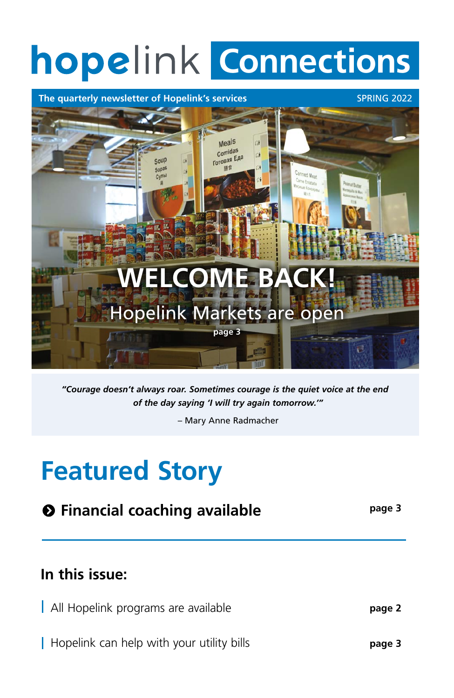# **hopelink Connections**

### **The quarterly newsletter of Hopelink's services** SPRING 2022



# **Featured Story**

## **In this issue:**

All Hopelink programs are available

*"Courage doesn't always roar. Sometimes courage is the quiet voice at the end of the day saying 'I will try again tomorrow.'"* 

– Mary Anne Radmacher

# **Financial coaching available page 3**

**page 2**

| Hopelink can help with your utility bills

**page 3**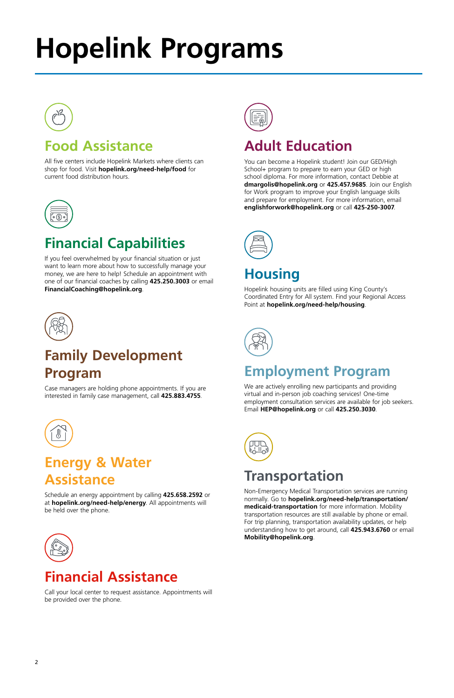# **Hopelink Programs**



# **Food Assistance**

All five centers include Hopelink Markets where clients can shop for food. Visit **hopelink.org/need-help/food** for current food distribution hours.



# **Financial Capabilities**

If you feel overwhelmed by your financial situation or just want to learn more about how to successfully manage your money, we are here to help! Schedule an appointment with one of our financial coaches by calling **425.250.3003** or email **FinancialCoaching@hopelink.org**.



# **Family Development Program**

Case managers are holding phone appointments. If you are interested in family case management, call **425.883.4755**.



### **Energy & Water Assistance**

Schedule an energy appointment by calling **425.658.2592** or



at **hopelink.org/need-help/energy**. All appointments will be held over the phone.



### **Financial Assistance**

Call your local center to request assistance. Appointments will be provided over the phone.

## **Adult Education**

You can become a Hopelink student! Join our GED/High School+ program to prepare to earn your GED or high school diploma. For more information, contact Debbie at **dmargolis@hopelink.org** or **425.457.9685**. Join our English for Work program to improve your English language skills and prepare for employment. For more information, email **englishforwork@hopelink.org** or call **425-250-3007**.



### **Housing**

Hopelink housing units are filled using King County's Coordinated Entry for All system. Find your Regional Access Point at **hopelink.org/need-help/housing**.



### **Employment Program**

We are actively enrolling new participants and providing virtual and in-person job coaching services! One-time employment consultation services are available for job seekers. Email **HEP@hopelink.org** or call **425.250.3030**.



# **Transportation**

Non-Emergency Medical Transportation services are running normally. Go to **hopelink.org/need-help/transportation/ medicaid-transportation** for more information. Mobility transportation resources are still available by phone or email. For trip planning, transportation availability updates, or help understanding how to get around, call **425.943.6760** or email **Mobility@hopelink.org**.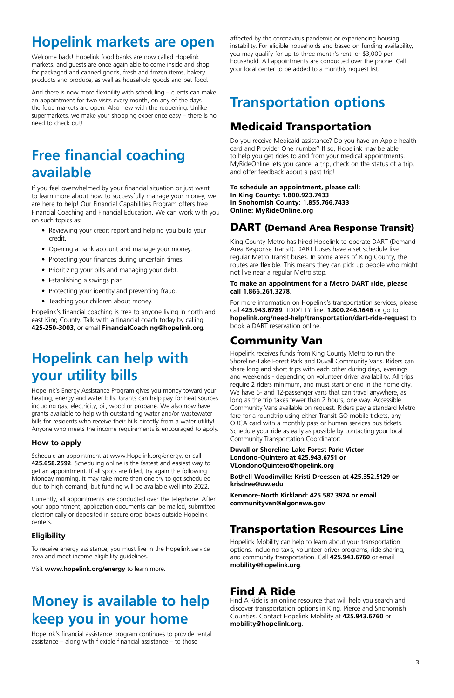# **Hopelink markets are open**

Welcome back! Hopelink food banks are now called Hopelink markets, and guests are once again able to come inside and shop for packaged and canned goods, fresh and frozen items, bakery products and produce, as well as household goods and pet food.

And there is now more flexibility with scheduling – clients can make an appointment for two visits every month, on any of the days the food markets are open. Also new with the reopening: Unlike supermarkets, we make your shopping experience easy – there is no need to check out!

# **Free financial coaching available**

If you feel overwhelmed by your financial situation or just want to learn more about how to successfully manage your money, we are here to help! Our Financial Capabilities Program offers free Financial Coaching and Financial Education. We can work with you on such topics as:

- Reviewing your credit report and helping you build your credit.
- Opening a bank account and manage your money.
- Protecting your finances during uncertain times.
- Prioritizing your bills and managing your debt.
- Establishing a savings plan.
- Protecting your identity and preventing fraud.
- Teaching your children about money.

Hopelink's financial coaching is free to anyone living in north and east King County. Talk with a financial coach today by calling **425-250-3003**, or email **FinancialCoaching@hopelink.org**.

# **Hopelink can help with your utility bills**

Hopelink's Energy Assistance Program gives you money toward your heating, energy and water bills. Grants can help pay for heat sources including gas, electricity, oil, wood or propane. We also now have grants available to help with outstanding water and/or wastewater bills for residents who receive their bills directly from a water utility! Anyone who meets the income requirements is encouraged to apply.

### **How to apply**

Schedule an appointment at www.Hopelink.org/energy, or call **425.658.2592**. Scheduling online is the fastest and easiest way to get an appointment. If all spots are filled, try again the following Monday morning. It may take more than one try to get scheduled due to high demand, but funding will be available well into 2022.

Currently, all appointments are conducted over the telephone. After your appointment, application documents can be mailed, submitted electronically or deposited in secure drop boxes outside Hopelink centers.

### **Eligibility**

To receive energy assistance, you must live in the Hopelink service area and meet income eligibility guidelines.

Visit **www.hopelink.org/energy** to learn more.

# **Money is available to help keep you in your home**

Hopelink's financial assistance program continues to provide rental assistance – along with flexible financial assistance – to those

affected by the coronavirus pandemic or experiencing housing instability. For eligible households and based on funding availability, you may qualify for up to three month's rent, or \$3,000 per household. All appointments are conducted over the phone. Call your local center to be added to a monthly request list.

# **Transportation options**

### Medicaid Transportation

Do you receive Medicaid assistance? Do you have an Apple health card and Provider One number? If so, Hopelink may be able to help you get rides to and from your medical appointments. MyRideOnline lets you cancel a trip, check on the status of a trip, and offer feedback about a past trip!

**To schedule an appointment, please call: In King County: 1.800.923.7433 In Snohomish County: 1.855.766.7433 Online: MyRideOnline.org**

### DART (Demand Area Response Transit)

King County Metro has hired Hopelink to operate DART (Demand Area Response Transit). DART buses have a set schedule like regular Metro Transit buses. In some areas of King County, the routes are flexible. This means they can pick up people who might not live near a regular Metro stop.

#### **To make an appointment for a Metro DART ride, please call 1.866.261.3278.**

For more information on Hopelink's transportation services, please call **425.943.6789**. TDD/TTY line: **1.800.246.1646** or go to **hopelink.org/need-help/transportation/dart-ride-request** to book a DART reservation online.

### Community Van

Hopelink receives funds from King County Metro to run the Shoreline-Lake Forest Park and Duvall Community Vans. Riders can share long and short trips with each other during days, evenings and weekends - depending on volunteer driver availability. All trips require 2 riders minimum, and must start or end in the home city. We have 6- and 12-passenger vans that can travel anywhere, as long as the trip takes fewer than 2 hours, one way. Accessible Community Vans available on request. Riders pay a standard Metro fare for a roundtrip using either Transit GO mobile tickets, any ORCA card with a monthly pass or human services bus tickets. Schedule your ride as early as possible by contacting your local Community Transportation Coordinator:

#### **Duvall or Shoreline-Lake Forest Park: Victor Londono-Quintero at 425.943.6751 or VLondonoQuintero@hopelink.org**

**Bothell-Woodinville: Kristi Dreessen at 425.352.5129 or krisdree@uw.edu** 

**Kenmore-North Kirkland: 425.587.3924 or email** 

**communityvan@algonawa.gov**

### Transportation Resources Line

Hopelink Mobility can help to learn about your transportation options, including taxis, volunteer driver programs, ride sharing, and community transportation. Call **425.943.6760** or email **mobility@hopelink.org**.

### Find A Ride

Find A Ride is an online resource that will help you search and discover transportation options in King, Pierce and Snohomish Counties. Contact Hopelink Mobility at **425.943.6760** or **mobility@hopelink.org**.